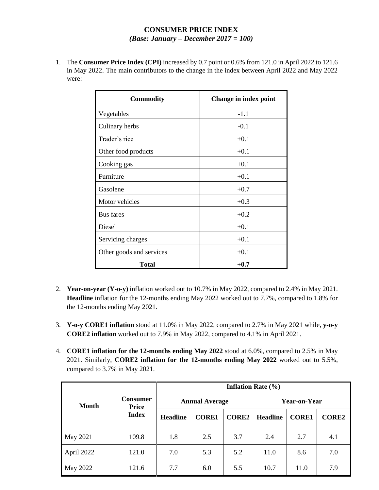## **CONSUMER PRICE INDEX** *(Base: January – December 2017 = 100)*

1. The **Consumer Price Index (CPI)** increased by 0.7 point or 0.6% from 121.0 in April 2022 to 121.6 in May 2022. The main contributors to the change in the index between April 2022 and May 2022 were:

| <b>Commodity</b>         | Change in index point |
|--------------------------|-----------------------|
| Vegetables               | $-1.1$                |
| Culinary herbs           | $-0.1$                |
| Trader's rice            | $+0.1$                |
| Other food products      | $+0.1$                |
| Cooking gas              | $+0.1$                |
| Furniture                | $+0.1$                |
| Gasolene                 | $+0.7$                |
| Motor vehicles           | $+0.3$                |
| <b>Bus</b> fares         | $+0.2$                |
| Diesel                   | $+0.1$                |
| Servicing charges        | $+0.1$                |
| Other goods and services | $+0.1$                |
| Total                    | $+0.7$                |

- 2. **Year-on-year (Y-o-y)** inflation worked out to 10.7% in May 2022, compared to 2.4% in May 2021. **Headline** inflation for the 12-months ending May 2022 worked out to 7.7%, compared to 1.8% for the 12-months ending May 2021.
- 3. **Y-o-y CORE1 inflation** stood at 11.0% in May 2022, compared to 2.7% in May 2021 while, **y-o-y CORE2 inflation** worked out to 7.9% in May 2022, compared to 4.1% in April 2021.
- 4. **CORE1 inflation for the 12-months ending May 2022** stood at 6.0%, compared to 2.5% in May 2021. Similarly, **CORE2 inflation for the 12-months ending May 2022** worked out to 5.5%, compared to 3.7% in May 2021.

|            | <b>Consumer</b><br><b>Price</b><br><b>Index</b> | <b>Inflation Rate</b> $(\% )$ |              |              |                 |              |              |
|------------|-------------------------------------------------|-------------------------------|--------------|--------------|-----------------|--------------|--------------|
| Month      |                                                 | <b>Annual Average</b>         |              |              | Year-on-Year    |              |              |
|            |                                                 | <b>Headline</b>               | <b>CORE1</b> | <b>CORE2</b> | <b>Headline</b> | <b>CORE1</b> | <b>CORE2</b> |
| May 2021   | 109.8                                           | 1.8                           | 2.5          | 3.7          | 2.4             | 2.7          | 4.1          |
| April 2022 | 121.0                                           | 7.0                           | 5.3          | 5.2          | 11.0            | 8.6          | 7.0          |
| May 2022   | 121.6                                           | 7.7                           | 6.0          | 5.5          | 10.7            | 11.0         | 7.9          |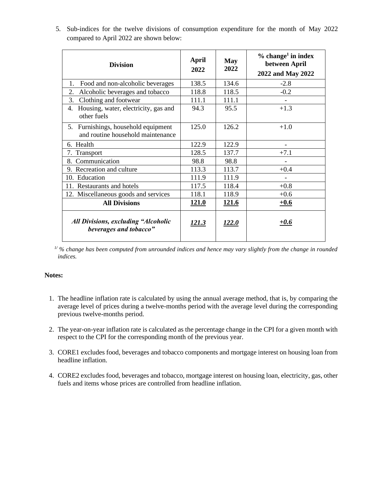| 5. Sub-indices for the twelve divisions of consumption expenditure for the month of May 2022 |  |
|----------------------------------------------------------------------------------------------|--|
| compared to April 2022 are shown below:                                                      |  |

| <b>Division</b>                                                          | April<br>2022 | <b>May</b><br>2022 | $%$ change <sup>1</sup> in index<br>between April<br>2022 and May 2022 |
|--------------------------------------------------------------------------|---------------|--------------------|------------------------------------------------------------------------|
| Food and non-alcoholic beverages<br>1.                                   | 138.5         | 134.6              | $-2.8$                                                                 |
| 2.<br>Alcoholic beverages and tobacco                                    | 118.8         | 118.5              | $-0.2$                                                                 |
| Clothing and footwear<br>3.                                              | 111.1         | 111.1              |                                                                        |
| Housing, water, electricity, gas and<br>4.<br>other fuels                | 94.3          | 95.5               | $+1.3$                                                                 |
| 5. Furnishings, household equipment<br>and routine household maintenance | 125.0         | 126.2              | $+1.0$                                                                 |
| 6. Health                                                                | 122.9         | 122.9              |                                                                        |
| 7. Transport                                                             | 128.5         | 137.7              | $+7.1$                                                                 |
| Communication<br>8.                                                      | 98.8          | 98.8               |                                                                        |
| 9. Recreation and culture                                                | 113.3         | 113.7              | $+0.4$                                                                 |
| 10. Education                                                            | 111.9         | 111.9              |                                                                        |
| 11. Restaurants and hotels                                               | 117.5         | 118.4              | $+0.8$                                                                 |
| 12. Miscellaneous goods and services                                     | 118.1         | 118.9              | $+0.6$                                                                 |
| <b>All Divisions</b>                                                     | <u>121.0</u>  | <u>121.6</u>       | $+0.6$                                                                 |
| <b>All Divisions, excluding "Alcoholic</b><br>beverages and tobacco"     | 121.3         | <i>122.0</i>       | $+0.6$                                                                 |

*<sup>1</sup>/ % change has been computed from unrounded indices and hence may vary slightly from the change in rounded indices.*

## **Notes:**

- 1. The headline inflation rate is calculated by using the annual average method, that is, by comparing the average level of prices during a twelve-months period with the average level during the corresponding previous twelve-months period.
- 2. The year-on-year inflation rate is calculated as the percentage change in the CPI for a given month with respect to the CPI for the corresponding month of the previous year.
- 3. CORE1 excludes food, beverages and tobacco components and mortgage interest on housing loan from headline inflation.
- 4. CORE2 excludes food, beverages and tobacco, mortgage interest on housing loan, electricity, gas, other fuels and items whose prices are controlled from headline inflation.